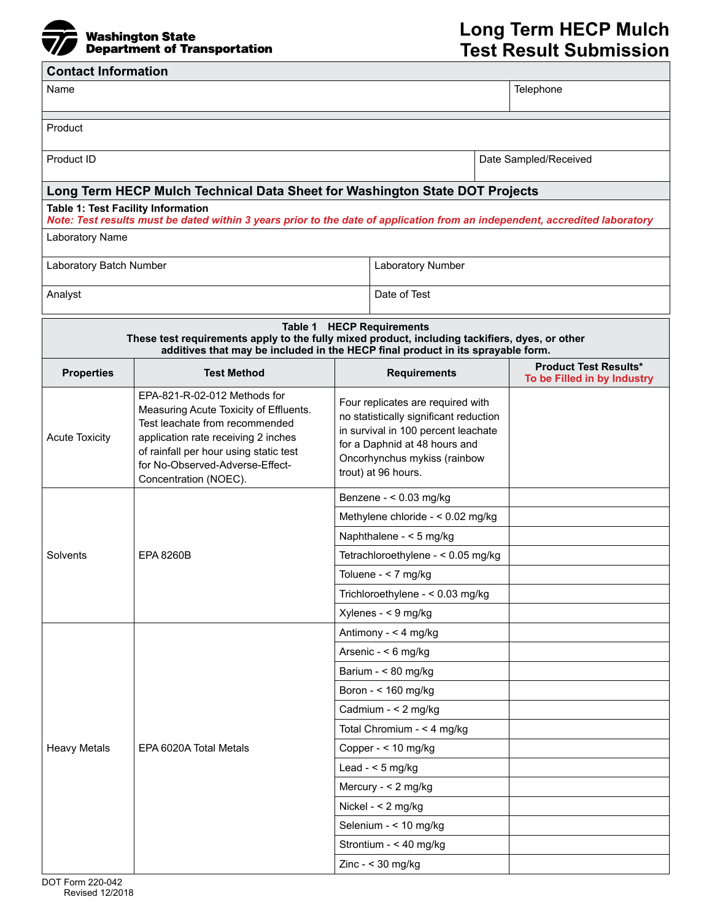

**Contact Information** 

## $\overline{\phantom{a}}$ Name Telephone Product Product ID **Date Sampled/Received D** Date Sampled/Received **Long Term HECP Mulch Technical Data Sheet for Washington State DOT Projects Table 1: Test Facility Information** *Note: Test results must be dated within 3 years prior to the date of application from an independent, accredited laboratory*  Laboratory Name Laboratory Batch Number Laboratory Number Analyst **Date of Test Table 1 HECP Requirements These test requirements apply to the fully mixed product, including tackifiers, dyes, or other additives that may be included in the HECP final product in its sprayable form. Properties** Test Method Requirements **Product Test Results\* To be Filled in by Industry**  Acute Toxicity EPA-821-R-02-012 Methods for Measuring Acute Toxicity of Effluents. Test leachate from recommended application rate receiving 2 inches of rainfall per hour using static test for No-Observed-Adverse-Effect-Concentration (NOEC). Four replicates are required with no statistically significant reduction in survival in 100 percent leachate for a Daphnid at 48 hours and Oncorhynchus mykiss (rainbow trout) at 96 hours. Solvents | EPA 8260B Benzene - < 0.03 mg/kg Methylene chloride - < 0.02 mg/kg Naphthalene - < 5 mg/kg Tetrachloroethylene - < 0.05 mg/kg Toluene - < 7 mg/kg Trichloroethylene - < 0.03 mg/kg Xylenes - < 9 mg/kg Heavy Metals | EPA 6020A Total Metals Antimony - < 4 mg/kg Arsenic - < 6 mg/kg Barium - < 80 mg/kg Boron - < 160 mg/kg Cadmium - < 2 mg/kg Total Chromium - < 4 mg/kg Copper - < 10 mg/kg Lead - < 5 mg/kg Mercury - < 2 mg/kg Nickel - < 2 mg/kg Selenium - < 10 mg/kg Strontium - < 40 mg/kg Zinc - < 30 mg/kg